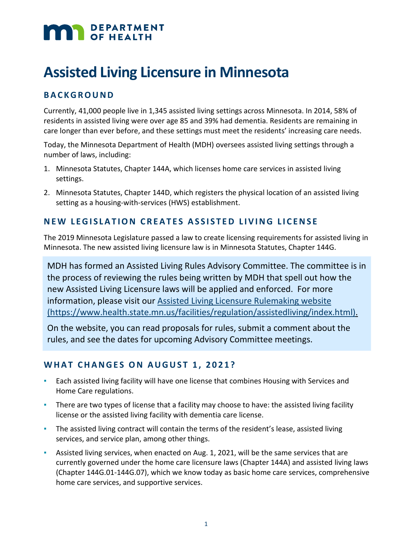# DEPARTMENT

## **Assisted Living Licensure in Minnesota**

### **BACKGROUND**

Currently, 41,000 people live in 1,345 assisted living settings across Minnesota. In 2014, 58% of residents in assisted living were over age 85 and 39% had dementia. Residents are remaining in care longer than ever before, and these settings must meet the residents' increasing care needs.

Today, the Minnesota Department of Health (MDH) oversees assisted living settings through a number of laws, including:

- 1. Minnesota Statutes, Chapter 144A, which licenses home care services in assisted living settings.
- 2. Minnesota Statutes, Chapter 144D, which registers the physical location of an assisted living setting as a housing-with-services (HWS) establishment.

#### **NEW LEGISLATION CREATES ASSISTED LIVING LICENSE**

The 2019 Minnesota Legislature passed a law to create licensing requirements for assisted living in Minnesota. The new assisted living licensure law is in Minnesota Statutes, Chapter 144G.

MDH has formed an Assisted Living Rules Advisory Committee. The committee is in the process of reviewing the rules being written by MDH that spell out how the new Assisted Living Licensure laws will be applied and enforced. For more information, please visit our [Assisted Living Licensure](https://www.health.state.mn.us/facilities/regulation/assistedliving/index.html) Rulemaking website [\(https://www.health.state.mn.us/facilities/regulation/assistedliving/index.html\).](https://www.health.state.mn.us/facilities/regulation/assistedliving/index.html)

On the website, you can read proposals for rules, submit a comment about the rules, and see the dates for upcoming Advisory Committee meetings.

#### **WHAT CHANGES ON AUGUST 1, 2021?**

- **Each assisted living facility will have one license that combines Housing with Services and** Home Care regulations.
- There are two types of license that a facility may choose to have: the assisted living facility license or the assisted living facility with dementia care license.
- The assisted living contract will contain the terms of the resident's lease, assisted living services, and service plan, among other things.
- Assisted living services, when enacted on Aug. 1, 2021, will be the same services that are currently governed under the home care licensure laws (Chapter 144A) and assisted living laws (Chapter 144G.01-144G.07), which we know today as basic home care services, comprehensive home care services, and supportive services.